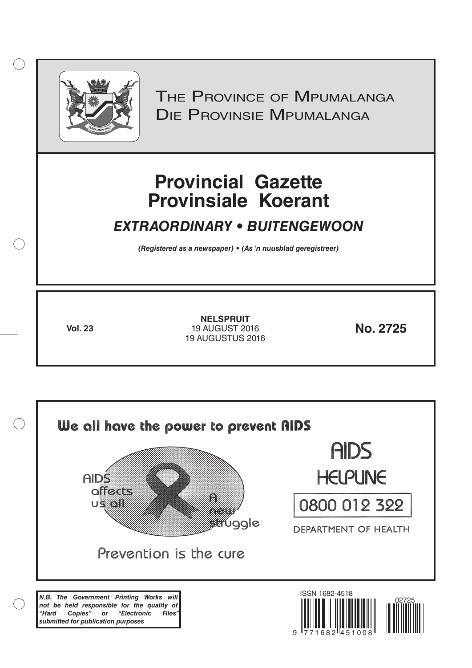

 $( )$ 

THE PROVINCE OF MPUMALANGA Die Provinsie Mpumalanga

# **Provincial Gazette Provinsiale Koerant**

## *EXTRAORDINARY • BUITENGEWOON*

*(Registered as a newspaper) • (As 'n nuusblad geregistreer)*

**Vol. 23 No. 2725** 19 AUGUST 2016 **NELSPRUIT** 19 AUGUSTUS 2016

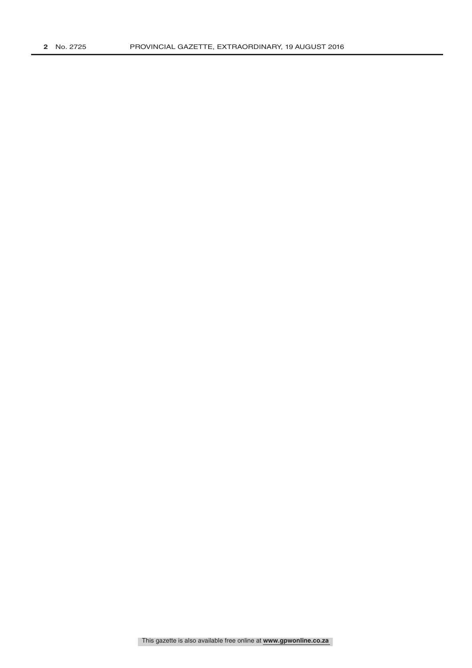This gazette is also available free online at **www.gpwonline.co.za**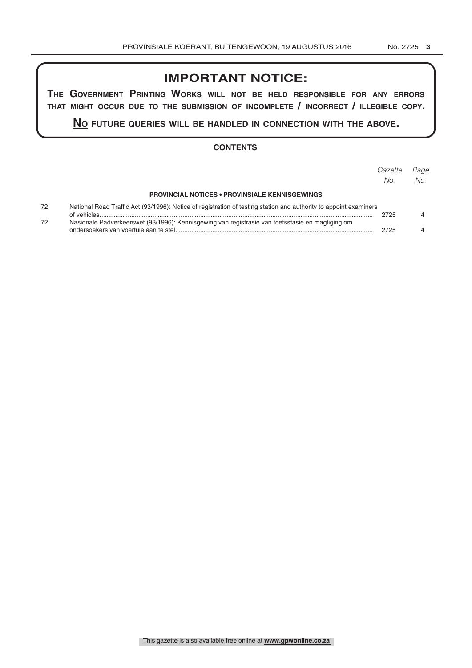## **IMPORTANT NOTICE:**

**The GovernmenT PrinTinG Works Will noT be held resPonsible for any errors ThaT miGhT occur due To The submission of incomPleTe / incorrecT / illeGible coPy.**

**no fuTure queries Will be handled in connecTion WiTh The above.**

#### **CONTENTS**

|    |                                                                                                                   | Gazette<br>No. | Page<br>No. |
|----|-------------------------------------------------------------------------------------------------------------------|----------------|-------------|
|    |                                                                                                                   |                |             |
|    | <b>PROVINCIAL NOTICES • PROVINSIALE KENNISGEWINGS</b>                                                             |                |             |
| 72 | National Road Traffic Act (93/1996): Notice of registration of testing station and authority to appoint examiners | 2725           |             |
| 72 | Nasionale Padverkeerswet (93/1996): Kennisgewing van registrasie van toetsstasie en magtiging om                  | 2725           |             |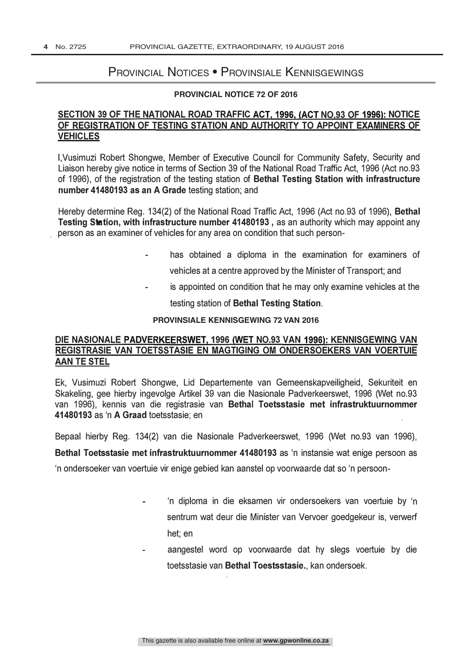## Provincial Notices • Provinsiale Kennisgewings

#### **PROVINCIAL NOTICE 72 OF 2016**

#### <u>SECTION 39 OF THE NATIONAL ROAD TRAFFIC ACT, 1996, (ACT NO.93 OF 1996): NOTICE</u> OF REGISTRATION OF TESTING STATION AND AUTHORITY TO APPOINT EXAMINERS OF VEHICLES OF REGISTRATION OF TESTING STATION AND AUTHORITY TO APPOINT EXAMINERS OF <u>Vermons</u>

I,Vusimuzi Robert Shongwe, Member of Executive Council for Community Safety, Security and Liaison hereby give notice in terms of Section 39 of the National Road Traffic Act, 1996 (Act no.93 Liaison hereby give notice in terms or exclusively critical media media with infrastructure of 1996), of the registration of the testing station of Bethal Testing Station with infrastructure of 1996), of the registration of the reging station of Bethal Testing Station with infrastration.<br> **number 41480193 as an A Grade** testing station; and I,Vusimuzi Robert Shongwe, Member of Executive Council for Community Safety, Security and  $\frac{1}{3}$  and  $\frac{1}{3}$  as an A  $\frac{1}{3}$  as an A  $\frac{1}{3}$  as an A  $\frac{1}{3}$  and  $\frac{1}{3}$ 

Hereby determine Reg. 134(2) of the National Road Traffic Act, 1996 (Act no.93 of 1996), Bethal Testing Station, with infrastructure number 41480193, as an authority which may appoint any person as an examiner of vehicles for any area on condition that such personperson as an examiner of vehicles for any area on condition that such person-

- has obtained a diploma in the examination for examiners of has obtained a diploma in the examination for examiners of vehicles at a centre approved by the Minister of Transport; and vehicles at a centre approved by the Minister of Transport; and
- is appointed on condition that he may only examine vehicles at the is appointed on condition that he may only examine vehicles at the

testing station of Bethal Testing Station.

### **PROVINSIALE KENNISGEWING 72 VAN 2016**

## DIE NASIONALE PADVERKEERSWET, 1996 (WET NO.93 VAN 1996): KENNISGEWING VAN REGISTRASIE VAN TOETSSTASIE EN MAGTIGING OM ONDERSOEKERS VAN VOERTUIE REGISTRASIE VAN TOETSSTASIE EN MAGTIGING OM ONDERSOEKERS VAN VOERTUIE AAN TE STEL AAN TE STEL

Ek, Vusimuzi Robert Shongwe, Lid Departemente van Gemeenskapveiligheid, Sekuriteit en Ek, Vusimuzi Robert Shongwe, Lid Departemente van Gemeenskapveiligheid, Sekuriteit en Skakeling, gee hierby ingevolge Artikel 39 van die Nasionale Padverkeerswet, 1996 (Wet no.93 Skakeling, gee hierby ingevolge Artikel 39 van die Nasionale Padverkeerswet, 1996 (Wet no.93 van 1996), kennis van die registrasie van Bethal Toetsstasie met infrastruktuurnommer van 1996), kennis van die registrasie van Bethal Toetsstasie met infrastruktuurnommer 41480193 as 'n A Graad toetsstasie; en 41480193 as 'n A Graad toetsstasie; en

Bepaal hierby Reg. 134(2) van die Nasionale Padverkeerswet, 1996 (Wet no.93 van 1996), Bepaal hierby Reg. 134(2) van die Nasionale Padverkeerswet, 1996 (Wet no.93 van 1996),

Bethal Toetsstasie met infrastruktuurnommer 41480193 as 'n instansie wat enige persoon as Bethal Toetsstasie met infrastruktuurnommer 41480193 as 'n instansie wat enige persoon as

'n ondersoeker van voertuie vir enige gebied kan aanstel op voorwaarde dat so 'n persoon- 'n ondersoeker van voertuie vir enige gebied kan aanstel op voorwaarde dat so 'n persoon-

- 'n diploma in die eksamen vir ondersoekers van voertuie by 'n 'n diploma in die eksamen vir ondersoekers van voertuie by 'n sentrum wat deur die Minister van Vervoer goedgekeur is, verwerf het; en het; en
- aangestel word op voorwaarde dat hy slegs voertuie by die aangestel word op voorwaarde dat hy slegs voertuie by die toetsstasie van Bethal Toestsstasie., kan ondersoek.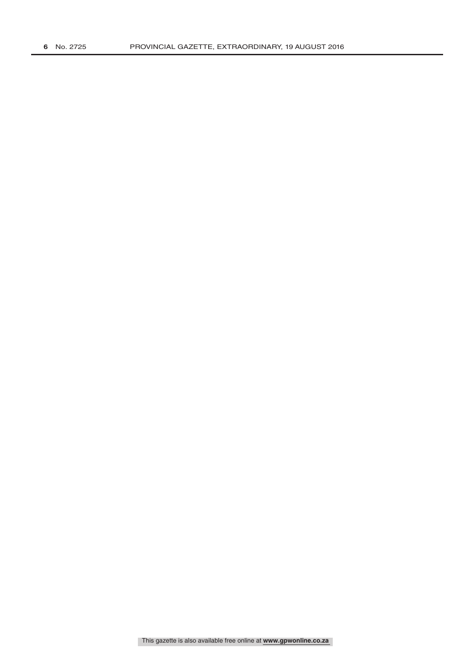This gazette is also available free online at **www.gpwonline.co.za**